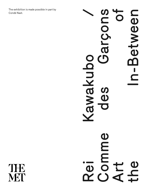The exhibition is made possible in part by Condé Nast.

Comme des Garçons Art of Rei Kawakubo / the In-Between **SUCCE** DANIC  $\bigcirc$  $\mathbf C$ awakubo  $\equiv$ **SD**  $\mathbf 0$  $\begin{array}{ccc} \begin{array}{ccc} \end{array} \end{array}$ omme  $\overline{\mathbf{D}}$  $\mathbf{L}$  $\boldsymbol{\omega}$  $\alpha$  ( )

THE MET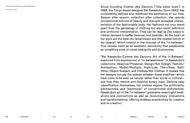Since founding Comme des Garçons ("like some boys") in 1969, the Tokyo-based designer Rei Kawakubo (born 1942) has consistently defined and redefined the aesthetics of our time. Season after season, collection after collection, she upends conventional notions of beauty and disrupts accepted charac teristics of the fashionable body. Her fashions not only stand apart from the genealogy of clothing but also resist definition and confound interpretation. They can be read as Zen koans or riddles devised to baffle, bemuse, and bewilder. At the heart of her work are the koan *mu* (emptiness) and the related notion of *ma* (space), which coexist in the concept of the "in-between." This reveals itself as an aesthetic sensibility that establishes an unsettling zone of visual ambiguity and elusiveness.

"Rei Kawakubo/Comme des Garçons: Art of the In-Between" examines nine expressions of "in-betweenness" in Kawakubo's collections: Absence/Presence; Design/Not Design; Fashion/ Antifashion; Model/Multiple; High/Low; Then/Now; Self/ Other; Object/Subject; and Clothes/Not Clothes. It reveals how her designs occupy the spaces between these dualities —which have come to be seen as natural rather than social or cultural and how they resolve and dissolve binary logic. Defying easy classification themselves, her clothes expose the artificiality, arbitrariness, and "emptiness" of conventional dichotomies. Kawakubo's art of the "in-between" generates meaningful medi ations and connections as well as revolutionary innovations and transformations, offering endless possibilities for creation and re-creation.

"I like to work with space and emptiness."

Rei Kawakubo, 2000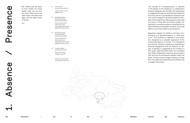The concept of "in-betweenness" is reflected in the design of this exhibition —a collaboration between Kawakubo and The Met. *Mu* (emptiness) is suggested through the architectural leitmotif of the circle, which in Zen Buddhism symbolizes the void, and *ma* (space) is evoked through the inter play of structural forms. *Ma* expresses void as well as volume, a thing with and without shape —not defined by concrete boundaries. Amplified by the stark whiteness of the gallery surfaces, the visual effect is one of both absence and presence.

Kawakubo regards her fashions and their envi ronments as a *Gesamtkunstwerk*, or "total work of art." This synthesis is reflected in the exhibi tion, designed as a complete expression of the Comme des Garçons "universe." It is intended to be a holistic, immersive experience, facilitating a personal engagement with the fashions on dis play. A pathway is suggested by the numbers in this guide, beginning with these red ensembles that reflect Kawakubo's enduring preoccupation with blurring the boundaries between body and dress. Visitors are encouraged, however, to forge their own paths and experience the exhibition as a voyage of discovery.

1. Absence / Presence $\bf{O}$ resenc osence

1.1 2 Dimensions Autumn/winter 2012–13

> Jacket and skirt of red polyester felt

1.2 Body Meets Dress— Dress Meets Body Spring/summer 1997

> Dress and top of red stretch nylon and polyurethane plain weave padded with goose down

1.3 Body Meets Dress— Dress Meets Body Spring/summer 1997

> Dress and top of red stretch nylon and polyurethane plain weave padded with goose down

1.4 Invisible Clothes Spring/summer 2017

> Dress of red cotton velveteen and PVC

*Heads and wigs created and styled by Julien d'Ys.*



"My clothes and the spac es they inhabit are insep arable —they are one and the same. They convey the same vision, the same mes sage, and the same sense of values."

2017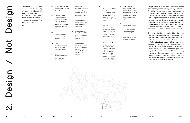"I wasn't limited to the con fines of a pattern. Not being educated, not being taught how to design, I was able to visualize in a completely different context. And I still seem able to draw upon the unconventional."

1993

2.1 The Future of Silhouette Autumn/winter 2017–18

Dress of brown paper

- 2.2 Patchworks and X Spring/summer 1983
	- Top of off-white cotton knit appliquéd with off-white cotton ribbon; dress of off-white cotton muslin and white rayon satin
- 2.3 Crush Spring/summer 2013

Vest and dress of offwhite cotton canvas

- 2.4 Crush Spring/summer 2013 Vest and skirt of offwhite cotton canvas
- 2.5 Crush Spring/summer 2013 Vest and skirt of off-

white cotton canvas

2.6 Wonderland Autumn/winter 2009–10

> Jacket of nude nylon tulle and white padded interfacing; shorts of nude stretch nylon

- 2.7 Clustering Beauty Spring/summer 1998 Dress of off-white cotton lawn
- 2.8 Clustering Beauty Spring/summer 1998 Dress of off-white cotton lawn and polyester
- 2.9 Clustering Beauty Spring/summer 1998

organza

Dress of off-white cotton lawn with panels of pleated off-white cotton lawn and polyester organza

2.10 Fusion Autumn/winter 1998–99

Top of brown cashmere plain weave and white cotton twill; skirt of brown cashmere plain weave, white cotton twill, and off-white wool

interlining

2.11 Adult Punk Autumn/winter 1997–98

> Dress of synthetic gold lace and off-white woolnylon open plain weave; shorts of purple stretch nylon and polyurethane

2.12 Adult Punk Autumn/winter 1997–98

> Dress of light brown polyester chiffon and organza, and white and gray polyester interlining overlaid with white polyester tulle and embroidered with gold thread in a floral motif; shorts of red stretch nylon and polyurethane



Dress of off-white cotton velveteen appliquéd with white cotton muslin and white synthetic jacquard embroidered with clear sequins

# 2.14 Wonderland Autumn/winter 2009–10

Jacket of nude nylon tulle and white padded interfacing; shorts of nude stretch nylon

*Heads and wigs created and styled by Julien d'Ys.*

# Rei Kawakubo / Art of the Indian – Art of the Indian – Art of the Indian – Art of the Indian – Art of the Indian<br>References of the Indian – Art of the Indian – Art of the Indian – Art of the Indian – Art of the Indian – Ar

Design/Not Design explores Kawakubo's intuitive approach to garment making. Having received no formal fashion training, Kawakubo pursues sponta neous and experimental techniques and methods of construction. Usually, her creative process begins with a single word or an abstract image conveyed to her patternmakers. She once presented a crumpled piece of paper to her team and requested a pattern that expressed similar qualities —as seen in a dress of brown paper shaped and twisted around the body from her collection *The Future of Silhouette* .

The ensembles in this section highlight strate gies that recur in Kawakubo's collections —fusion, imbalance, the unfinished, elimination, and design without design. These modes of expression, all rooted in a Zen Buddhist aesthetic principle known as *wabi-sabi*, converge in an outfit of ripped and patchworked white cotton jersey from her collection *Patchworks and X*; a dress with fifteen layers of rawedged, unbleached cotton from *Clustering Beauty*; ensembles of flattened, layered, and stitched cotton canvas toiles from *Crush*; and garments featuring exposed and reconfigured pattern pieces from *Adult Punk*, *Fusion*, and *Adult Delinquent* .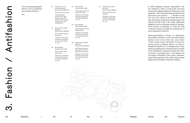

"I am not protesting against fashion. This is something else, another direction."

1983

3.1 Twist, Silk + Jersey, Knits (Patchworks) Autumn/winter 1984–85

Dress of navy wool jersey

The Metropolitan Museum of Art, New York, Purchase, The Friends of The Costume Institute Gifts, 2010 (2010.304a, b)

3.2 Gloves, Skirts, Quilted Big Coats Autumn/winter 1983–84

> Dress of black and navy wool jersey

> Collection of The Kyoto Costume Institute, gift of Comme des Garçons Co., Ltd.

3.3 Round Rubber Spring/summer 1984

> Dress of black cotton plain weave

Collection of The Kyoto Costume Institute, gift of Comme des Garçons Co., Ltd.

3.4 Round Rubber Spring/summer 1984

> Dress of black and white cotton plain weave

Collection of The Kyoto Costume Institute, gift of Comme des Garçons Co., Ltd.

3.5 Round Rubber Spring/summer 1984

> Dress of black linen; belt of black rubber

Collection of The Kyoto Costume Institute, gift of Comme des Garçons Co., Ltd.

3.6 Gloves, Skirts, Quilted Big Coats Autumn/winter 1983–84

> Top of black wool-nylon plain weave; trouser of black wool-nylon jersey

> Collection of The Kyoto Costume Institute, gift of Comme des Garçons Co., Ltd.



Dress of black wool knit jacquard

Collection of The Kyoto Costume Institute, gift of Comme des Garçons Co., Ltd.

In 1979 Kawakubo became "dissatisfied" with her collections, which, to that point, had been infused with Japanese folkloric influences. As she explained: "I felt I should be doing something more directional, more powerful. . . . I decided to start from zero, from nothing, to do things that had not been done before, things with a strong image." This rupture, the first of two in her career, established Kawakubo as the archetypal modernist designer, whose pursuit of originality (or what she calls "newness") became the defining characteristic of every subsequent collection.

Fashion/Antifashion focuses on Kawakubo's early 1980s collections, which elicited extreme reactions from critics when they were shown in Paris, owing to their repudiation of many pre vailing canons of Western fashion. In terms of Kawakubo's aesthetic of "in-betweenness," these works are significant for introducing the concepts of *mu* (emptiness), expressed through the mono chromatic —principally black —color palette, and *ma* (space), embodied in the outsize, shapeless, loose-fitting garments that create excess space between skin and fabric, body and clothing.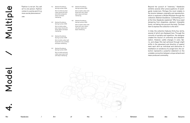

"Fashion is not art. You sell art to one person. Fashion comes in a series and it is a more social phenomenon."

1998

4.1 Abstract Excellence Spring/summer 2004

> Skirt of white brushed cotton faced with pink and white compound weave and black interfacing

4.2 Abstract Excellence Spring/summer 2004

> Skirt of white cotton plain weave faced with white sateen and black interfacing

4.3 Abstract Excellence Spring/summer 2004

> Skirt of white cotton twill faced with navy synthetic and black interfacing

4.4 Abstract Excellence Spring/summer 2004

> Skirt of white and pink cotton-wool-nylon twill with black interfacing

4.5 Abstract Excellence Spring/summer 2004

> Skirt of white cotton twill faced with navy cotton plain weave and black interfacing

4.6 Abstract Excellence Spring/summer 2004

> Skirt of white cotton twill faced with navy cottonsilk plain weave and black interfacing

Beyond her pursuit of "newness," Kawakubo exhibits several other preoccupations of avantgarde modernism. Perhaps the most notable is the tension between originality and reproduction, which is explored in Model/Multiple through the collection *Abstract Excellence*. Commenting on it at the time, Kawakubo explained: "[My focus was] designing from shapeless, abstract, intangible forms, not taking into account the body. The best item to express the collection is the skirt."

In total, the collection features thirty-four skirts, several of which are displayed here. Through the conceits of seriality and repetition, the designer created the illusion of uniformity and standard ization. However, subtle changes in color, fabric, and shape (the last achieved through slight shifts in the placement and direction of seams) mark each skirt as individual and distinctive. A meditation on variations of a single form, the col lection represents a powerful statement on the unstable connection between unique artwork and mass-produced commodity.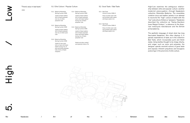

"There's value in bad taste."

2008

- 5.1 Elite Culture / Popular Culture
- 5.1.1 Ballerina Motorbike Spring/summer 2005

Jacket of black leather; skirt of black polyester net; tutu of white polyester tulle

5.1.2 Ballerina Motorbike Spring/summer 2005

> Jacket of black leather; skirt of black polyester net; tutu of white nylon tulle

5.1.3 Ballerina Motorbike Spring/summer 2005

> Jacket of navy wool twill on foam with black leather lacing; tutu of pink and white polyester tulle; shorts of black neoprene

5.1.4 Ballerina Motorbike Spring/summer 2005

> Jacket of black leather; skirt of black polyester mesh with black leather lacing; tutu of black polyester tulle

5.1.5 Ballerina Motorbike Spring/summer 2005

> Jacket of black leather; skirt of black polyester mesh with black leather lacing; tutu of black polyester tulle

*Heads and wigs created and styled by Julien d'Ys*

# 5.2 Good Taste / Bad Taste

5.2.1 Bad Taste Autumn/winter 2008–9

> Dress of white nylon tulle and synthetic plain weave with black elastic trim

5.2.2 Bad Taste Autumn/winter 2008–9

> Dress of white nylon tulle and synthetic plain weave with black elastic trim *.*

High/Low examines the ambiguous relation ship between elite and popular culture —another modernist preoccupation —through Kawakubo's collection *Motorbike Ballerina*. The ensembles combine tutus and leather jackets in an attempt to reconcile the "high" culture of ballet with the "low" subculture of bikers or "greasers." Kawakubo described the collection as "Harley–Davidson loves Margot Fonteyn," a reference to the American motorcycle manufacturer and the British prima ballerina.

The aesthetic language of street style has long fascinated Kawakubo. She often deploys it in parodic explorations of taste, as in the collection *Bad Taste*, which incorporates punk and fetish styles. Using textiles thought to be cheap, kitschy, and vulgar, such as nylon and polyester, the designer upends received notions of good taste and exposes inherent prejudices and bourgeois posturings in the precincts of elite culture.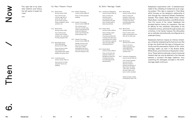"The right half of my brain likes tradition and history, the left wants to break the rules."

2005

# 6.1 Past / Present / Future

6.1.1 White Drama Spring/summer 2012 Top of white acrylic crochet; cage skirt of white silk satin with acrylic jersey and lace flowers wrapped in white synthetic net

6.1.2 White Drama Spring/summer 2012

> Top of white acrylic crochet; skirt of white synthetic net; underskirt of white polyester twill

6.1.3 Body Meets Dress— Dress Meets Body Spring/summer 1997

> Dress and top of white stretch nylon and polyurethane plain weave padded with goose down

- 6.1.4 Inside Decoration Autumn/winter 2010–11
	- Vest and skirt of white polyester flannel and wadding

6.1.5 Modern Sweetness Autumn/winter 1990–91 Dress of white polyester

wadding

6.1.6 Sweeter Than Sweet Autumn/winter 1995–96

> Top of white acrylic knit; skirt of white nylon chiffon embroidered with white and iridescent acrylic-wool thread with white polyester tulle

6.1.7 Sweeter Than Sweet Autumn/winter 1995–96

> Sweater of pink acrylic knit; skirt of pink and white nylon chiffon embroidered with pink and white acrylic thread with pink polyester tulle

# 6.2 Birth / Marriage / Death

6.2.1 Ceremony of Separation Autumn/winter 2015–16

Dress of white and off-white cotton and synthetic lace embroidered with gold lace; shoulder pads of black polyurethane

6.2.2 Broken Bride Autumn/winter 2005–6

> Dress of beige cottonsilk habotai and charmeuse printed with a trompe-l'oeil dress and embroidered with a black silk velvet bow, polyester satin and tulle ruffles and passementerie

Rei Kawakubo / Art of the Indian – Art of the Indian – Between Comme des Garçons 6. Then  $\Gamma$ Kawakubo's experiments with "in-betweenness" relate to the unfolding of modernism as an ongoing project. This idea is explored in Then/Now, which focuses on the designer's relationship to time through the collections *Modern Sweetness*, *Sweeter Than Sweet*, *Body Meets Dress—Dress Meets Body*, *Inside Decoration*, and *White Drama*. Over the course of her career, Kawakubo has plumbed fashion history for inspiration. She has an affinity for the overblown silhouettes of the nineteenth century, achieved through bustles and crinolines. In her hands, however, the silhouettes are so radically and profoundly reconfigured as to eradicate history.

6.2.3 Broken Bride Autumn/winter 2005–6

> Dress of off-white silkpolyester chiffon and georgette printed with a trompe-l'oeil dress and embroidered with passementerie

6.2.4 Broken Bride Autumn/winter 2005–6

> Dress of white silkpolyester chiffon and georgette printed with a trompe-l'oeil dress and embroidered with passementerie

6.2.5 White Drama Spring/summer 2012

> Dress of white cotton poplin and polyester tulle with veil of cotton lace

6.2.6 White Drama Spring/summer 2012

> Dress of off-white cotton-polyester satin embroidered with acrylic flowers and synthetic lace

# 6.2.7 Ceremony of Separation Autumn/winter 2015–16

Coat of black polyester lace and net with attached children's dresses and bonnets of black nylon net, black cotton lawn, and black silk satin ribbon, and bow of cotton velveteen

*Heads and wigs created and styled by Julien d'Ys.*

Kawakubo's fashions impose an intense immediacy, stridently emphasizing the here and now. She brings into doubt both the logic of temporal continuity and the presumptive rhythm of life—birth, marriage, death—as seen in the *Broken Bride*, *White Drama*, and *Ceremony of Separation* collections. These fashions advocate a level of personal freedom that can only be attained in the intervals between a society's life-stage traditions, thus subverting the ideologies encoded in the birthmarriage-death continuum.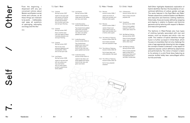

"From the beginning, I dispensed with any pre conceived notions about Western and Eastern social mores and cultures, as all these things are irrelevant to my world. . . . I deliberately cast away all questions of upbringing, nationality, sociology and the like."

2011

# 7.1 East / West

7.1.1 Cubisme Spring/summer 2007 Jacket of red nylon tulle with panels of off-white wool-polyester voltaire printed red and black;

> skirt of white nylon tulle and red rayon flocking

- 7.1.2 Cubisme
	- Spring/summer 2007

Dress of white nylon tulle with lapels of black triacetate-polyester and red rayon flocking

7.1.3 Cubisme Spring/summer 2007

> Vest of navy woolpolyester gabardine and red polyester chiffon; skirt of red nylon tulle

7.1.4 Lost Empire Spring/summer 2006

> Jacket of red wool twill with red, yellow, and navy wool tartan; skirt of cotton poplin printed in polychrome tartan pattern

7.1.5 Lost Empire Spring/summer 2006

> Jacket of red polyester crepe; pants of red, yellow, and navy wool tartan

7.1.6 Inside Decoration Autumn/winter 2010–11

> Top of polychrome padded wool tartan and white cotton muslin; shorts of red, black, and yellow padded wool tartan

7.1.7 Inside Decoration Autumn/winter 2010–11

> Top of polychrome padded wool tartan and white cotton muslin; shorts of red, navy, and green padded wool tartan

7.1.8 Inside Decoration Autumn/winter 2010–11

> Jacket of red, black, and white padded wool tartan; shorts of red, navy, and green wool tartan

# 7.2 Male / Female

# 7.2.1 Persona Autumn/winter 2006–7

Jacket and shorts of black wool worsted; shirt of white cotton poplin

7.2.2 Persona Autumn/winter 2006–7

> Jacket of black wool check tweed; shorts of black wool worsted; shirt of white cotton poplin

7.2.3 The Infinity of Tailoring Autumn/winter 2013–14 Suit of black polyester twill with polyester fringe

7.2.4 The Infinity of Tailoring Autumn/winter 2013–14 Suit of gray, black, and

white polyester Glen plaid

7.2.5 The Infinity of Tailoring Autumn/winter 2013–14 Suit of navy polyester

sharkskin

7.3 Child / Adult

7.3.1 2 Dimensions Autumn/winter 2012–13

> Dress of blue and pink polyester felt

7.3.2 Cacophony Spring/summer 2008

> Dress of pink padded polyester chiffon and cotton plain weave frill

7.3.3 Not Making Clothing Spring/summer 2014

> Dress of pink polyester paper; cage of padded white cotton duck

7.3.4 Not Making Clothing Spring/summer 2014

> Dress of pink polyester paper printed with a polychrome floral motif and appliquéd with a self-fabric stuffed bear

Self/Other highlights Kawakubo's exploration of hybrid identities that blur the boundaries of con ventional definitions of culture, gender, and age. The works featured in the East/West and Male/ Female subsections combine Eastern and Western and masculine and feminine clothing traditions. Historically, these are loosely defined by wrapping and draping in relation to Eastern and feminine garments and by tailoring with respect to Western and masculine garments.

The fashions in Male/Female also fuse types of clothing typically associated with men and women —such as trousers and skirts —into one outfit. The creation of hybrid identities through fusion is further surveyed in Child/Adult, which focuses on ensembles that not only challenge the rules of age-appropriate dressing but also engage the concept of *kawaii* (cuteness)—a key aspect of Japanese popular culture defined by playfulness and performativity. The notion of *kawaii* is taken to its extreme in a pink floral dress featuring an oversize stuffed teddy bear camouflaged within its frills and folds.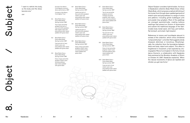"I want to rethink the body, so the body and the dress become one."

1997

Excerpts from Merce Cunningham's *Scenario* dance performance, 1997

> Courtesy of the Merce Cunningham Trust

8.1 Body Meets Dress— Dress Meets Body Spring/summer 1997

> Top of gray-and-white gingham and skirt of navy-and-white gingham, both stretch nylon and polyurethane plain weave padded with goose down

8.2 Body Meets Dress— Dress Meets Body Spring/summer 1997

> Coat and skirt of navy stretch nylon and polyurethane plain weave padded with goose down

8.3 Body Meets Dress— Dress Meets Body Spring/summer 1997

> Dress of gray-and-white gingham stretch nylon and polyurethane plain weave padded with goose down

8.4 Body Meets Dress— Dress Meets Body Spring/summer 1997

> Jacket and skirt of blue-and-white gingham stretch nylon and polyurethane plain weave padded with goose down

8.5 Body Meets Dress— Dress Meets Body Spring/summer 1997

> Jacket and skirt of pink-and-white gingham stretch nylon and polyurethane plain weave padded with goose down

8.6 Body Meets Dress— Dress Meets Body Spring/summer 1997

> Dress of blue-and-white gingham stretch nylon and polyurethane plain weave padded with goose down

8.7 Body Meets Dress— Dress Meets Body Spring/summer 1997

> Top of red-and-white gingham and skirt of beige-and-white gingham, both stretch nylon and polyurethane plain weave padded with goose down

8.8 Body Meets Dress— Dress Meets Body Spring/summer 1997

Rei Kawakubo / Art of the Indian – Between Comme des Garçons 8. Object / Subject / Subject / Subject / Subject<br>Art of the Indian – Subject / Subject / Subject / Subject / Subject / Subject / Subject / Subject / Subject /<br>A References to tumors and hunchbacks abound in reviews of the collection, which critics christened "lumps and bumps"—a moniker that suggests a body diseased, deformed, or monstrous. Morphologi cally, the collection blurs the boundaries between dress and body, object and subject. This effect is heightened in movement, a fact exploited by cho reographer Merce Cunningham in the forty-minute dance *Scenario*, a collaboration with Kawakubo that premiered at the Brooklyn Academy of Music on October 14, 1997. Kawakubo explained, "When the natural movements of dance are repelled and refuted, you get new forms."

Top and skirt of red stretch nylon and polyurethane plain weave padded with goose down

8.9 Body Meets Dress— Dress Meets Body Spring/summer 1997

> Dress of red-and-white gingham stretch nylon and polyurethane plain weave padded with goose down

8.10 Body Meets Dress— Dress Meets Body Spring/summer 1997

> Coat and skirt of red stretch nylon and polyurethane plain weave padded with goose down

Object/Subject considers hybrid bodies. Its focus is Kawakubo's collection *Body Meets Dress —Dress Meets Body*, which proposes a radical rethinking of the human form through down-padded garments of stretch nylon and polyurethane in a range of colors and patterns —including girlish bubblegum pink and powder blue gingham. Most of the paddings are arranged asymmetrically, creating bulbous swellings that present an illusion of dysmorphia and subvert the traditional language of the fash ionable body (small waist, slim hips, pert bottom, flat stomach, and small, high breasts).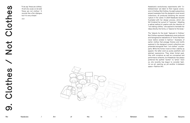

"If we say 'these are clothes,' it's all very usual, so we said 'these are not clothes.' It sounds like a Zen dialogue, but it is very simple."

2014

Kawakubo's revolutionary experiments with "inbetweenness" are taken to their logical conclusion in Clothes/Not Clothes. Its eight subsections present examples from the designer's most recent collections, all produced following the second rupture in her career. In 2014 Kawakubo became frustrated with her design process, which she felt hindered her pursuit of "newness." Adopting a radical method of creation with the intention of "not making clothes," she aspired to translate her ideas directly into forms, or "objects for the body."

The "objects for the body" featured in Clothes/ Not Clothes represent Kawakubo's most profound and transgressive realizations of "forms that have never before existed in fashion." Examples of earlier clothes that presage themes and motifs explored in the designer's recent collections are presented alongside their "not clothes" counter parts. While the former insist on their viability as apparel, the latter exist as purely aesthetic and abstract expressions. They share formal qual ities with sculpture as well as conceptual and performance artworks, but Kawakubo has always preferred the epithet "worker" to "artist." Even so, she recently has begun to consider fashion as art, opening up yet another in-between space —Fashion/Art.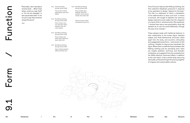

"Personally, I don't care about function at all.... When I hear 'where could you wear that?' or 'it's not very wearable,' or 'who would wear that?' to me it's just a sign that someone missed the point."

2012

9.1.1 Tomorrow's Black Spring/summer 2009

> Top and skirt of black polyurethane-rayon faux leather

9.1.2 Not Making Clothing Spring/summer 2014

> Dress of black nylon net, wool plain weave, polyester tulle, and cupra organza

9.1.3 Not Making Clothing Spring/summer 2014

> Dress of black woolmohair plain weave and black cotton twill

9.1.4 Not Making Clothing Spring/summer 2014

> Dress of black polyester taffeta and black lycra

9.1.5 Not Making Clothing Spring/summer 2014

> Dress of black rayonpolyester velvet and synthetic mesh; harness of black silk-cotton twill

*Heads and wigs created and styled by Julien d'Ys.*

Form/Function features *Not Making Clothing*, the first collection Kawakubo produced in response to her aspiration to design "objects for the body." The title is a statement of intent, a declaration of her determination to favor pure form. In terms of process, she sought to abandon her previous design experience and create from the viewpoint of a naive child or untrained artist. She explained, "I wished there was a new psychedelic drug that allowed me to see the world differently, through the eyes of an outsider."

These designs break with traditional fashions in their relationship to the human figure. Abstract shapes and three-dimensional structures stand apart from the body, and eccentric silhouettes and exaggerated proportions —reminiscent of doll clothing —threaten to obscure and overwhelm the figure. While there is a definite fissure between *Not Making Clothing* and her preceding work, there are notable aesthetic, technical, and thematic similarities, as is apparent from the ensemble from her 2009 collection *Tomorrow's Black*. In addition to the color black, it has a similar body-obscuring silhouette, achieved through the piecing together of irregular and outsize pattern pieces.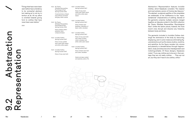

"Things that have never been seen before have a tendency to be somewhat abstract, but making art is not my in tention at all. All my effort is oriented towards giving form to clothes that have never been seen before."

2015

9.2.1 No Theme (Multiple Personalities, Psychological Fear) Spring/summer 2011

> Conjoined dress of black polyurethane and black and gray cotton canvas

9.2.2 No Theme (Multiple Personalities, Psychological Fear) Spring/summer 2011

> Dress of black cottonpolyester-nylon compound weave

9.2.3 Invisible Clothes Spring/summer 2017

> Dress of navy quilted wool-cotton plain weave and white cotton poplin

9.2.4 Invisible Clothes Spring/summer 2017

Dress of navy wool twill

9.2.5 Invisible Clothes Spring/summer 2017

> Dress of navy woolcotton twill, black velvet, and white cotton plain weave

9.2.6 Invisible Clothes Spring/summer 2017

> Dress of black wool barathea; underdress of black cotton velveteen

9.2.7 Invisible Clothes Spring/summer 2017

> Dress of navy wool twill with collars of black cotton velveteen and white cotton plain weave

9.2.8 Invisible Clothes Spring/summer 2017 Dress of black wool twill

and cotton velveteen

*Heads and wigs created and styled by Julien d'Ys.*

Abstraction / Representation features *Invisible Clothes*, which Kawakubo considers "the clearest and most extreme version of Comme des Garçons." The abstract, sculptural qualities of the ensembles are emblematic of her indifference to the "repre sentational" characteristics of clothing. Several of the garments comprise multiple versions merged together, an idea also evident in the 2011 collection *No Theme (Multiple Personalities, Psychological Fear)*. Unlike the earlier pieces, however, the more recent ones disrupt and dissolve any hierarchy between body and dress.

The garments included in *Invisible Clothes* chal lenge the dominance of the body by obscuring, displacing, and in some instances eliminating fig ural elements such as the sleeve, bodice, neckline, and waistline. As the figure recedes into volume and planarity or dematerializes through fragmen tation, body and dress become interdependent and indistinguishable. Of these designs, Kawakubo noted: "If you say clothes are to be worn, then per haps they are not really clothes. . . . They are not art, but they don't have to be clothes, either."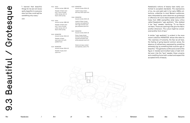

"I learned that beautiful things for me are not neces sarily beautiful to everyone else, but they could well be something very scary."

2005

9.3.1 Holes Autumn/winter 1982–83

> Sweater of black wool knit; T-shirt of white cotton jersey; skirt of black cotton jersey

9.3.2 Holes

Autumn/winter 1982–83 Sweater of black wool knit; T-shirt of white cotton jersey; skirt of black cotton jersey

9.3.3 MONSTER Autumn/winter 2014–15

> Sweater of black wool-nylon knit with padded hood

9.3.4 MONSTER Autumn/winter 2014–15

> Sweater of gray woolnylon knit

9.3.5 MONSTER Autumn/winter 2014–15

> Jacket of gray, brown, and navy wool-nylon knit

9.3.6 MONSTER Autumn/winter 2014–15

> Jacket of black, brown, and gray wool gabardine with cage of brown and gray polyester-wool knit

9.3.7 MONSTER Autumn/winter 2014–15

> Dress of gray, brown, and blue wool-polyester worsted and black-andwhite polyester-wool knit

> *Heads and wigs created and styled by Julien d'Ys.*

Kawakubo's notions of beauty have rarely con formed to accepted standards. The expressions of *mu*, *ma*, and *wabi-sabi* in her early 1980s col lections, unfamiliar to most Western audiences, were interpreted by some observers as grotesque or offensive. An iconic black sweater pierced with holes from 1982 exemplifies what many critics called Kawakubo's "ugly aesthetic." She dubbed it her "lace" sweater, clarifying: "To me they're not tears. Those are openings that give the fabric another dimension. The cutout might be consid ered another form of lace."

A similar "ugly aesthetic" is evident in the more recent collection *MONSTER*, whose title refers to "the craziness of humanity, the fear we all have, the feeling of going beyond common sense, the absence of ordinariness, expressed by something extremely big, by something that could be ugly or beautiful." The garments confine and constrict the figure in twisted and knotted tubes of dark knit ted wool. Like the "lace" sweater, these uncanny and unsettling forms both contest and expand the accepted limits of beauty.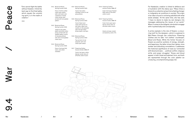

"One cannot fight the battle without freedom. I think the best way to find that battle, which equals the unyield ing spirit, is in the realm of creation."

2010

9.4.1 Blood and Roses Spring/summer 2015

> Dress of white quilted cotton plain weave, satin, and nylon, and underdress of white cotton jersey, both printed with red splatter pattern

9.4.2 Blood and Roses Spring/summer 2015

> Jacket of red cotton poplin and white cotton jersey printed with red splatter pattern; shorts of red polyurethane with skirt of red padded cotton duck

- 9.4.3 Blood and Roses Spring/summer 2015
	- Dress of red wool felt, nylon, and cotton velveteen

9.4.4 Blood and Roses Spring/summer 2015

> Coat of red cotton velveteen; shorts of red polyurethane

- 9.4.5 Blood and Roses Spring/summer 2015 Coat of black wool crepe with harness of red cotton ribbon and rosettes of silk-polyester satin and red cotton jersey, poplin, and lawn
- 9.4.6 Blood and Roses Spring/summer 2015

Top and skirt of red polyester satin and cotton plain weave

9.4.7 Flowering Clothes Autumn/winter 1996–97

> Coat of red rayon-cotton damask velvet; dress of off-white cotton muslin

9.4.8 Flowering Clothes Autumn/winter 1996–97

> Coat of red rayon flocked faille; dress of off-white cotton muslin

> > A prime example is the role of flowers-a recurring motif for the designer —which is explored in War/Peace through two collections: *Flowering Clothes* and its later "not clothes" counterpart, *Blood and Roses*. While the former focuses on flowers as positive symbols of energy, strength, and happiness, the latter mines their darker, more somber and disturbing connotations. It addresses the historical significance of roses as "connected with blood and wars . . . political conflict, religious strife, and power struggles." Roses and blood appear in both literal and abstract form, and both are represented through the color palette —an unvarying, uncompromising poppy red.

9.4.9 Flowering Clothes Autumn/winter 1996–97

Coat of red cupra-rayon devoré velvet; dress of off-white cotton muslin

*Heads and wigs created and styled by Julien d'Ys.*

For Kawakubo, creation is linked to defiance and a frustration with the status quo: "Many times a theme for a collection arises from a feeling of anger or indignation at conditions in society. The origin of an idea is found in not being satisfied with what exists already." At the same time, she has said, "I have no desire to make my own designs into messages addressing the issues of our world." When it comes to the zeitgeist, she tends to engage with it symbolically and conceptually.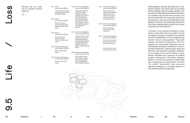"Nothing new can come out of a situation without suffering."

2014

9.5.1 Square Autumn/winter 2003–4

9.5.3 Square Autumn/winter 2003–4

Dress of black wool-rayon compound weave; skirt of white cotton poplin

9.5.2 Square Autumn/winter 2003–4

> Dress of navy woolrayon compound weave; trousers of white cotton poplin

> Dress of navy silk compound weave; trousers of white cotton poplin

9.5.4 Ceremony of Separation Autumn/winter 2015–16

Dress of white cotton muslin

9.5.5 Ceremony of Separation Autumn/winter 2015–16

> Dress of white cotton muslin

9.5.6 Ceremony of Separation Autumn/winter 2015–16

> Coat of black synthetic satin, black cotton velveteen, and white synthetic organza faced with white synthetic tulle embroidered with gold lace and trimmed with white fur; shorts of white synthetic organza embroidered with gold cord

9.5.7 Ceremony of Separation Autumn/winter 2015–16

> Jacket and dress of white polyester and rayon net embroidered with gold nylon thread and trimmed with gold silk lace, gold polyester-rayon lamé ruffles, and gold polyester ribbon

9.5.8 Ceremony of Separation Autumn/winter 2015–16 Dress of black cottonrayon chiffon and nylon tulle faced with black lace and padded with white synthetic wadding

9.5.9 Ceremony of Separation Autumn/winter 2015–16

> Dress of white woolcotton lace embroidered with synthetic tulle, chiffon, fur, and cotton muslin and trimmed with black wool twill

9.5.10 Ceremony of Separation Autumn/winter 2015–16

Rei Kawakubo / Art of the Indian – Between Comme des Garçons 9.5 Life  $\sim$  Life  $\sim$  Life  $\sim$  Life  $\sim$  Life  $\sim$  Life  $\sim$  Life  $\sim$  Life  $\sim$  Life  $\sim$  Life  $\sim$  Life  $\sim$  Life  $\sim$  Life  $\sim$  Life  $\sim$  Life  $\sim$  Life  $\$ It focuses on the collection *Ceremony of Sep aration*, whose title refers to the ways in which "the beauty and power of ceremony can alleviate the pain of separating, for the one departing as well as for the one saying goodbye." Tinged with sadness and despair, the garments —with their majestic and monumental silhouettes —can be interpreted as ponderous expressions of mourn ing dress. Rendered in delicate black, white, and gold lace, they represent a poignant meditation on the fragility of life and the finality of death. Several ensembles are comprised of wrapped bundles, reminiscent of the earlier collection *Square*, in which every garment is constructed from a single piece of square fabric. Like their "not clothes" descendants, these precursors represent meditations on ritualistic practice, in this case the tradition of pilgrimage.

Dress of black wool twill and white woolcotton lace

9.5.11 Ceremony of Separation Autumn/winter 2015–16

> Dress of black synthetic lace padded with black and white nylon tulle

*Heads and wigs created and styled by Julien d'Ys.*

While Kawakubo has been described as an "intel lectual" designer, she insists that her work deals with her "feelings, instincts, doubts, and fears." Her collections contain deeply personal and self-reflec tive narratives imbued with intense emotions and profound spirituality. These expressive dimensions are explored in Life/Loss, which elaborates on the themes of transition and temporality examined in Then/Now, extending them through the concepts of memory and memorialization.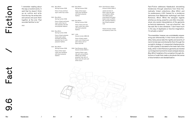

"I remember reading about the way a novelist works. It said that he doesn't think up an outline and write from the top. He writes bits and pieces and puts them together at the end. That sounded familiar to me."

2012

9.6.1 Blue Witch Spring/summer 2016

> Dress of navy and blue rayon-cotton faux velvet

9.6.2 Blue Witch Spring/summer 2016 Dress of black and brown

rayon-cotton faux fur with polyester-silk twill and polyester feathers

9.6.3 Blue Witch Spring/summer 2016

> Dress of black polyester stretch plain weave and black and brown polyester faux fur with polyester feathers

9.6.4 Blue Witch Spring/summer 2016

> Dress of blue rayoncotton faux astrakhan with black polyester feathers

9.6.5 Blue Witch Spring/summer 2016

> Dress of blue rayoncotton faux astrakhan with black polyester feathers

9.6.6 Blue Witch Spring/summer 2016

> Dress of blue and navy rayon-cotton faux velvet with black polyester feathers

9.6.7 Lilith Autumn/winter 1992–93

> Dress of black stretch nylon; vest of black wool plain weave; skirt of black wool felt

9.6.8 Dark Romance, Witch Autumn/winter 2004–5

> Jacket of black cuprasilk satin and synthetic taffeta; top of black polyester tulle; skirt of black wool-silk satin and white muslin

9.6.9 Dark Romance, Witch Autumn/winter 2004–5

> Jacket and skirt of black cupra-silk satin and synthetic taffeta, with taffeta panels embroidered with glass beads, brown synthetic felt, and black feathers; top of black polyester tulle

*Heads and wigs created and styled by Julien d'Ys.*

Fact/Fiction addresses Kawakubo's storytelling tendencies through selections from three the matically linked collections —*Blue Witch* and its predecessors *Lilith* (named for a murderous demoness from Babylonian mythology) and *Dark Romance*, *Witch*. While the designer regards witches as strong, powerful, and often misunder stood, she resists interpretations of the garments as feminist statements. "I am not a feminist," she has said. Nor is she a fantasist: "I don't have much in the way of daydreams or fanciful imagination. I'm actually a realist."

The ensembles, however, are unmistakably empowering and otherworldly in their forms and silhouettes. Early pieces take the rigidity and severity of men's formal wear and dismantle them through the surrealist strategy of unexpected displacements. In *Lilith* a jacket is relocated to the lower half of the body, while in *Dark Romance* garments are twisted out of alignment and skirts reveal vestigial sleeves. *Blue Witch* heightens this surrealism through dis tortions of scale that create a storybook-like sense of disorientation and destabilization.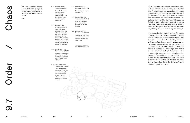"Am I an anarchist? In the sense that anarchy equals freedom, yes. Anarchy means freedom, but it also means chaos."

2016

9.7.1 Adult Delinquent Spring/summer 2010

> Dress of polychrome cotton-polyester jacquard, purple cotton velveteen, and red polyester chiffon embroidered with red sequins

9.7.2 Adult Delinquent Spring/summer 2010

> Top of light brown polyester chiffon and cotton velveteen; skirt of polychrome cottonpolyester jacquard, purple cotton velveteen, and red polyester chiffon embroidered with red sequins; shoulder pads of black polyurethane

9.7.3 18th-Century Punk Autumn/winter 2016–17

When Kawakubo established Comme des Garçons in 1973, her sole purpose was personal auton omy. "Independence has always been of greatest importance to me," she has stated. Like the search for "newness," the pursuit of freedom —freedom from convention and freedom of expression —is a defining attribute of her fashions. This quest has fueled her ongoing interest in street style, particu larly punk: "I've always liked the [punk] spirit in the sense that it's against the run of the mill, the normal way of doing things.... Punk is against flattery."

Jumpsuit of polychrome quilted rayon-polyester jacquard; arms harness of red PVC and black cotton twill

9.7.4 18th-Century Punk Autumn/winter 2016–17

> Dress of polychrome lamé rayon-silk-acrylic jacquard with applied self-fabric Gobelins flowers; shorts of polychrome acetatepolyester-nylon lamé jacquard

9.7.5 18th-Century Punk Autumn/winter 2016–17

> Dress and jacket of pink polyurethane

9.7.6 18th-Century Punk Autumn/winter 2016–17

> Dress and trousers of polychrome acetatepolyester-nylon lamé jacquard

9.7.7 18th-Century Punk Autumn/winter 2016–17

> Jumpsuit of polychrome silk-rayon-acrylic-nylonpolyester jacquard with metal snaps

Rei Kawakubo / Art of the Indian – Between Comme des Garçons 9.7 Order / Chaos<br>Art of the Indian – Between Comme des Garçons 9.7 Order / Chaos – Between Comme des Garçons 9.7 Order / Chaos<br>Art of the Indian – Chaos – Chaos Kawakubo also has a deep respect for history, however, and the dynamic between tradition and transgression is examined in Order/Chaos through her collection *18th-Century Punk*. The clothes conflate the pneumatic structures and hyperbolic silhouettes of the 1700s with the leitmotifs of 1970s punk, including fetishistic hardware, harnesses, fastenings, and materi als such as plastic in Pepto-Bismol pink. Their anachronistic employment of multicolored floral jacquards (not available until the 1800s), often pieced and collaged together, recalls an earlier punk-inspired collection, *Adult Delinquent*. At the time of its making, Kawakubo declared, "I am an adult delinquent to the end."

*Heads and wigs created and styled by Julien d'Ys.*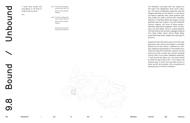

"I never give myself any boundaries or let them in terfere with my work."

2011

9.8.1 The Future of Silhouette Autumn/winter 2017–18

> Dress of white synthetic wadding

9.8.2 The Future of Silhouette Autumn/winter 2017–18 Dress of white synthetic wadding

> *Heads and wigs created and styled by Julien d'Ys.*

The exhibition concludes with two "objects for the body" from Kawakubo's most recent collec tion, *The Future of Silhouette*, made from what the designer describes as "non-fabrics," or non-woven, non-fashion materials. Here, white synthetic wad ding recalls her earlier crinoline-like ensembles featured in Then/Now. While the shapes of those garments have their origins in the mid-nineteenth century, however, the forms of these pieces distorted, malformed hourglasses —have no histor ical or, for that matter, social or cultural referents. This links them to the eccentric, engorged creations from *Body Meets Dress —Dress Meets Body*, except that these works notably lack openings for the arms.

Despite the fact that these pieces bind the body physically, they unbind and liberate it culturally. Fashion, by its very nature, is defined by a soci ety's idealized representation of the female form. These two "objects for the body," however, not only dismiss but also contest and subvert accepted canons. Early in her career, Kawakubo explained, "I work around the figure, but I am never limited by what the figure has to be." In her hands, the dressed body is freed from bounded notions of place, period, and purpose, fully occupying and expressing an "art of the in-between."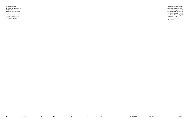All garments are by Rei Kawakubo (Japanese, born 1942) for Comme des Garçons (Japanese, founded 1969).

Unless otherwise noted, all works are courtesy of Comme des Garçons.

This guide accompanies the exhibition "Rei Kawakubo/ Comme des Garçons: Art of the In-Between," on view at The Metropolitan Museum of Art, New York, from May 4 to September 4, 2017.

#MetKawakubo